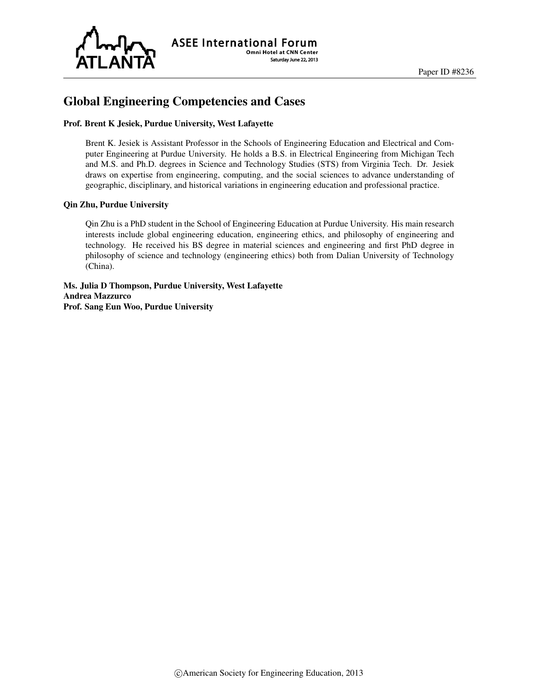

# Global Engineering Competencies and Cases

#### Prof. Brent K Jesiek, Purdue University, West Lafayette

Brent K. Jesiek is Assistant Professor in the Schools of Engineering Education and Electrical and Computer Engineering at Purdue University. He holds a B.S. in Electrical Engineering from Michigan Tech and M.S. and Ph.D. degrees in Science and Technology Studies (STS) from Virginia Tech. Dr. Jesiek draws on expertise from engineering, computing, and the social sciences to advance understanding of geographic, disciplinary, and historical variations in engineering education and professional practice.

#### Qin Zhu, Purdue University

Qin Zhu is a PhD student in the School of Engineering Education at Purdue University. His main research interests include global engineering education, engineering ethics, and philosophy of engineering and technology. He received his BS degree in material sciences and engineering and first PhD degree in philosophy of science and technology (engineering ethics) both from Dalian University of Technology (China).

Ms. Julia D Thompson, Purdue University, West Lafayette Andrea Mazzurco Prof. Sang Eun Woo, Purdue University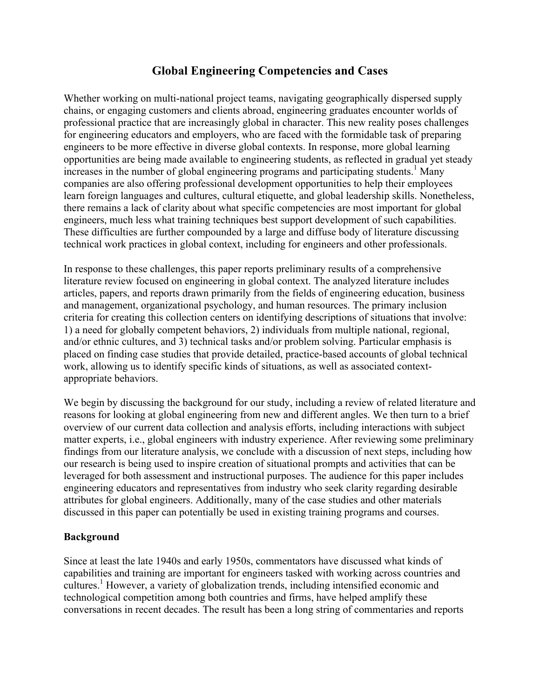# **Global Engineering Competencies and Cases**

Whether working on multi-national project teams, navigating geographically dispersed supply chains, or engaging customers and clients abroad, engineering graduates encounter worlds of professional practice that are increasingly global in character. This new reality poses challenges for engineering educators and employers, who are faced with the formidable task of preparing engineers to be more effective in diverse global contexts. In response, more global learning opportunities are being made available to engineering students, as reflected in gradual yet steady increases in the number of global engineering programs and participating students. <sup>1</sup> Many companies are also offering professional development opportunities to help their employees learn foreign languages and cultures, cultural etiquette, and global leadership skills. Nonetheless, there remains a lack of clarity about what specific competencies are most important for global engineers, much less what training techniques best support development of such capabilities. These difficulties are further compounded by a large and diffuse body of literature discussing technical work practices in global context, including for engineers and other professionals.

In response to these challenges, this paper reports preliminary results of a comprehensive literature review focused on engineering in global context. The analyzed literature includes articles, papers, and reports drawn primarily from the fields of engineering education, business and management, organizational psychology, and human resources. The primary inclusion criteria for creating this collection centers on identifying descriptions of situations that involve: 1) a need for globally competent behaviors, 2) individuals from multiple national, regional, and/or ethnic cultures, and 3) technical tasks and/or problem solving. Particular emphasis is placed on finding case studies that provide detailed, practice-based accounts of global technical work, allowing us to identify specific kinds of situations, as well as associated contextappropriate behaviors.

We begin by discussing the background for our study, including a review of related literature and reasons for looking at global engineering from new and different angles. We then turn to a brief overview of our current data collection and analysis efforts, including interactions with subject matter experts, i.e., global engineers with industry experience. After reviewing some preliminary findings from our literature analysis, we conclude with a discussion of next steps, including how our research is being used to inspire creation of situational prompts and activities that can be leveraged for both assessment and instructional purposes. The audience for this paper includes engineering educators and representatives from industry who seek clarity regarding desirable attributes for global engineers. Additionally, many of the case studies and other materials discussed in this paper can potentially be used in existing training programs and courses.

#### **Background**

Since at least the late 1940s and early 1950s, commentators have discussed what kinds of capabilities and training are important for engineers tasked with working across countries and cultures. 1 However, a variety of globalization trends, including intensified economic and technological competition among both countries and firms, have helped amplify these conversations in recent decades. The result has been a long string of commentaries and reports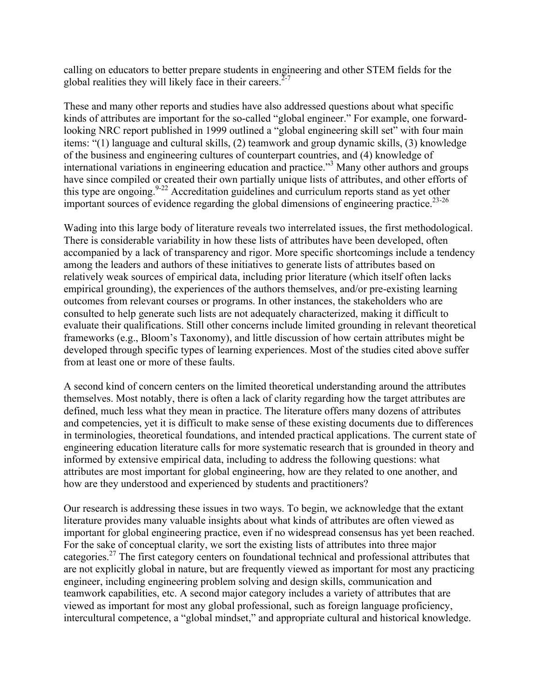calling on educators to better prepare students in engineering and other STEM fields for the global realities they will likely face in their careers.<sup> $2-7$ </sup>

These and many other reports and studies have also addressed questions about what specific kinds of attributes are important for the so-called "global engineer." For example, one forwardlooking NRC report published in 1999 outlined a "global engineering skill set" with four main items: "(1) language and cultural skills, (2) teamwork and group dynamic skills, (3) knowledge of the business and engineering cultures of counterpart countries, and (4) knowledge of international variations in engineering education and practice." <sup>3</sup> Many other authors and groups have since compiled or created their own partially unique lists of attributes, and other efforts of this type are ongoing.<sup>9-22</sup> Accreditation guidelines and curriculum reports stand as yet other important sources of evidence regarding the global dimensions of engineering practice.<sup>23-26</sup>

Wading into this large body of literature reveals two interrelated issues, the first methodological. There is considerable variability in how these lists of attributes have been developed, often accompanied by a lack of transparency and rigor. More specific shortcomings include a tendency among the leaders and authors of these initiatives to generate lists of attributes based on relatively weak sources of empirical data, including prior literature (which itself often lacks empirical grounding), the experiences of the authors themselves, and/or pre-existing learning outcomes from relevant courses or programs. In other instances, the stakeholders who are consulted to help generate such lists are not adequately characterized, making it difficult to evaluate their qualifications. Still other concerns include limited grounding in relevant theoretical frameworks (e.g., Bloom's Taxonomy), and little discussion of how certain attributes might be developed through specific types of learning experiences. Most of the studies cited above suffer from at least one or more of these faults.

A second kind of concern centers on the limited theoretical understanding around the attributes themselves. Most notably, there is often a lack of clarity regarding how the target attributes are defined, much less what they mean in practice. The literature offers many dozens of attributes and competencies, yet it is difficult to make sense of these existing documents due to differences in terminologies, theoretical foundations, and intended practical applications. The current state of engineering education literature calls for more systematic research that is grounded in theory and informed by extensive empirical data, including to address the following questions: what attributes are most important for global engineering, how are they related to one another, and how are they understood and experienced by students and practitioners?

Our research is addressing these issues in two ways. To begin, we acknowledge that the extant literature provides many valuable insights about what kinds of attributes are often viewed as important for global engineering practice, even if no widespread consensus has yet been reached. For the sake of conceptual clarity, we sort the existing lists of attributes into three major categories.27 The first category centers on foundational technical and professional attributes that are not explicitly global in nature, but are frequently viewed as important for most any practicing engineer, including engineering problem solving and design skills, communication and teamwork capabilities, etc. A second major category includes a variety of attributes that are viewed as important for most any global professional, such as foreign language proficiency, intercultural competence, a "global mindset," and appropriate cultural and historical knowledge.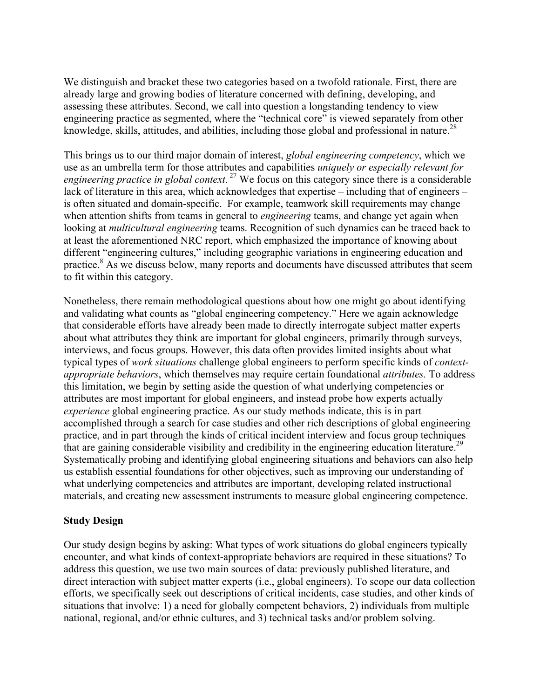We distinguish and bracket these two categories based on a twofold rationale. First, there are already large and growing bodies of literature concerned with defining, developing, and assessing these attributes. Second, we call into question a longstanding tendency to view engineering practice as segmented, where the "technical core" is viewed separately from other knowledge, skills, attitudes, and abilities, including those global and professional in nature.<sup>28</sup>

This brings us to our third major domain of interest, *global engineering competency*, which we use as an umbrella term for those attributes and capabilities *uniquely or especially relevant for engineering practice in global context*. <sup>27</sup> We focus on this category since there is a considerable lack of literature in this area, which acknowledges that expertise – including that of engineers – is often situated and domain-specific. For example, teamwork skill requirements may change when attention shifts from teams in general to *engineering* teams, and change yet again when looking at *multicultural engineering* teams. Recognition of such dynamics can be traced back to at least the aforementioned NRC report, which emphasized the importance of knowing about different "engineering cultures," including geographic variations in engineering education and practice.<sup>8</sup> As we discuss below, many reports and documents have discussed attributes that seem to fit within this category.

Nonetheless, there remain methodological questions about how one might go about identifying and validating what counts as "global engineering competency." Here we again acknowledge that considerable efforts have already been made to directly interrogate subject matter experts about what attributes they think are important for global engineers, primarily through surveys, interviews, and focus groups. However, this data often provides limited insights about what typical types of *work situations* challenge global engineers to perform specific kinds of *contextappropriate behaviors*, which themselves may require certain foundational *attributes.* To address this limitation, we begin by setting aside the question of what underlying competencies or attributes are most important for global engineers, and instead probe how experts actually *experience* global engineering practice. As our study methods indicate, this is in part accomplished through a search for case studies and other rich descriptions of global engineering practice, and in part through the kinds of critical incident interview and focus group techniques that are gaining considerable visibility and credibility in the engineering education literature.<sup>29</sup> Systematically probing and identifying global engineering situations and behaviors can also help us establish essential foundations for other objectives, such as improving our understanding of what underlying competencies and attributes are important, developing related instructional materials, and creating new assessment instruments to measure global engineering competence.

# **Study Design**

Our study design begins by asking: What types of work situations do global engineers typically encounter, and what kinds of context-appropriate behaviors are required in these situations? To address this question, we use two main sources of data: previously published literature, and direct interaction with subject matter experts (i.e., global engineers). To scope our data collection efforts, we specifically seek out descriptions of critical incidents, case studies, and other kinds of situations that involve: 1) a need for globally competent behaviors, 2) individuals from multiple national, regional, and/or ethnic cultures, and 3) technical tasks and/or problem solving.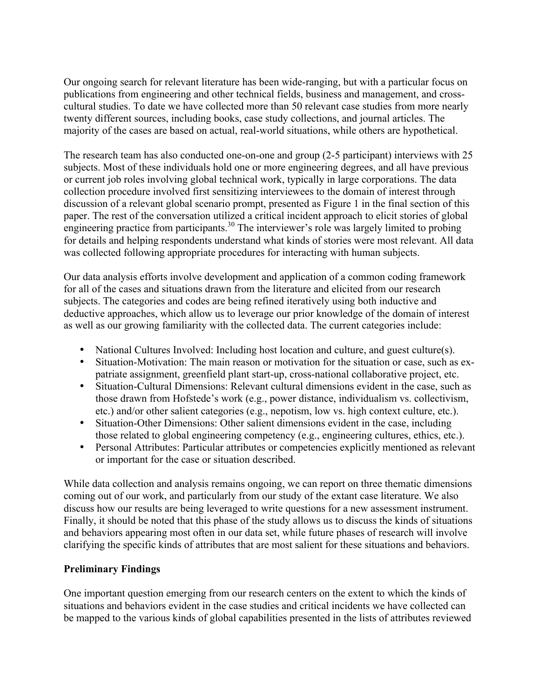Our ongoing search for relevant literature has been wide-ranging, but with a particular focus on publications from engineering and other technical fields, business and management, and crosscultural studies. To date we have collected more than 50 relevant case studies from more nearly twenty different sources, including books, case study collections, and journal articles. The majority of the cases are based on actual, real-world situations, while others are hypothetical.

The research team has also conducted one-on-one and group (2-5 participant) interviews with 25 subjects. Most of these individuals hold one or more engineering degrees, and all have previous or current job roles involving global technical work, typically in large corporations. The data collection procedure involved first sensitizing interviewees to the domain of interest through discussion of a relevant global scenario prompt, presented as Figure 1 in the final section of this paper. The rest of the conversation utilized a critical incident approach to elicit stories of global engineering practice from participants.<sup>30</sup> The interviewer's role was largely limited to probing for details and helping respondents understand what kinds of stories were most relevant. All data was collected following appropriate procedures for interacting with human subjects.

Our data analysis efforts involve development and application of a common coding framework for all of the cases and situations drawn from the literature and elicited from our research subjects. The categories and codes are being refined iteratively using both inductive and deductive approaches, which allow us to leverage our prior knowledge of the domain of interest as well as our growing familiarity with the collected data. The current categories include:

- National Cultures Involved: Including host location and culture, and guest culture(s).
- Situation-Motivation: The main reason or motivation for the situation or case, such as expatriate assignment, greenfield plant start-up, cross-national collaborative project, etc.
- Situation-Cultural Dimensions: Relevant cultural dimensions evident in the case, such as those drawn from Hofstede's work (e.g., power distance, individualism vs. collectivism, etc.) and/or other salient categories (e.g., nepotism, low vs. high context culture, etc.).
- Situation-Other Dimensions: Other salient dimensions evident in the case, including those related to global engineering competency (e.g., engineering cultures, ethics, etc.).
- Personal Attributes: Particular attributes or competencies explicitly mentioned as relevant or important for the case or situation described.

While data collection and analysis remains ongoing, we can report on three thematic dimensions coming out of our work, and particularly from our study of the extant case literature. We also discuss how our results are being leveraged to write questions for a new assessment instrument. Finally, it should be noted that this phase of the study allows us to discuss the kinds of situations and behaviors appearing most often in our data set, while future phases of research will involve clarifying the specific kinds of attributes that are most salient for these situations and behaviors.

# **Preliminary Findings**

One important question emerging from our research centers on the extent to which the kinds of situations and behaviors evident in the case studies and critical incidents we have collected can be mapped to the various kinds of global capabilities presented in the lists of attributes reviewed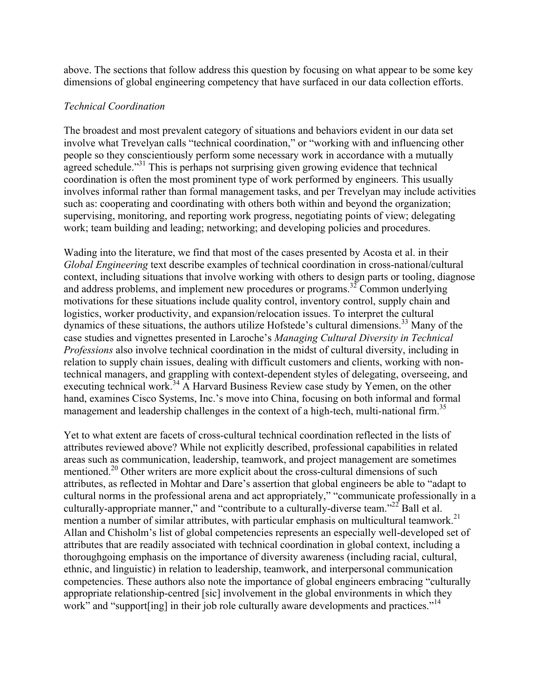above. The sections that follow address this question by focusing on what appear to be some key dimensions of global engineering competency that have surfaced in our data collection efforts.

### *Technical Coordination*

The broadest and most prevalent category of situations and behaviors evident in our data set involve what Trevelyan calls "technical coordination," or "working with and influencing other people so they conscientiously perform some necessary work in accordance with a mutually agreed schedule."<sup>31</sup> This is perhaps not surprising given growing evidence that technical coordination is often the most prominent type of work performed by engineers. This usually involves informal rather than formal management tasks, and per Trevelyan may include activities such as: cooperating and coordinating with others both within and beyond the organization; supervising, monitoring, and reporting work progress, negotiating points of view; delegating work; team building and leading; networking; and developing policies and procedures.

Wading into the literature, we find that most of the cases presented by Acosta et al. in their *Global Engineering* text describe examples of technical coordination in cross-national/cultural context, including situations that involve working with others to design parts or tooling, diagnose and address problems, and implement new procedures or programs.<sup>32</sup> Common underlying motivations for these situations include quality control, inventory control, supply chain and logistics, worker productivity, and expansion/relocation issues. To interpret the cultural dynamics of these situations, the authors utilize Hofstede's cultural dimensions.<sup>33</sup> Many of the case studies and vignettes presented in Laroche's *Managing Cultural Diversity in Technical Professions* also involve technical coordination in the midst of cultural diversity, including in relation to supply chain issues, dealing with difficult customers and clients, working with nontechnical managers, and grappling with context-dependent styles of delegating, overseeing, and executing technical work.<sup>34</sup> A Harvard Business Review case study by Yemen, on the other hand, examines Cisco Systems, Inc.'s move into China, focusing on both informal and formal management and leadership challenges in the context of a high-tech, multi-national firm.<sup>35</sup>

Yet to what extent are facets of cross-cultural technical coordination reflected in the lists of attributes reviewed above? While not explicitly described, professional capabilities in related areas such as communication, leadership, teamwork, and project management are sometimes mentioned.<sup>20</sup> Other writers are more explicit about the cross-cultural dimensions of such attributes, as reflected in Mohtar and Dare's assertion that global engineers be able to "adapt to cultural norms in the professional arena and act appropriately," "communicate professionally in a culturally-appropriate manner," and "contribute to a culturally-diverse team."<sup>22</sup> Ball et al. mention a number of similar attributes, with particular emphasis on multicultural teamwork.<sup>21</sup> Allan and Chisholm's list of global competencies represents an especially well-developed set of attributes that are readily associated with technical coordination in global context, including a thoroughgoing emphasis on the importance of diversity awareness (including racial, cultural, ethnic, and linguistic) in relation to leadership, teamwork, and interpersonal communication competencies. These authors also note the importance of global engineers embracing "culturally appropriate relationship-centred [sic] involvement in the global environments in which they work" and "support ling] in their job role culturally aware developments and practices."<sup>14</sup>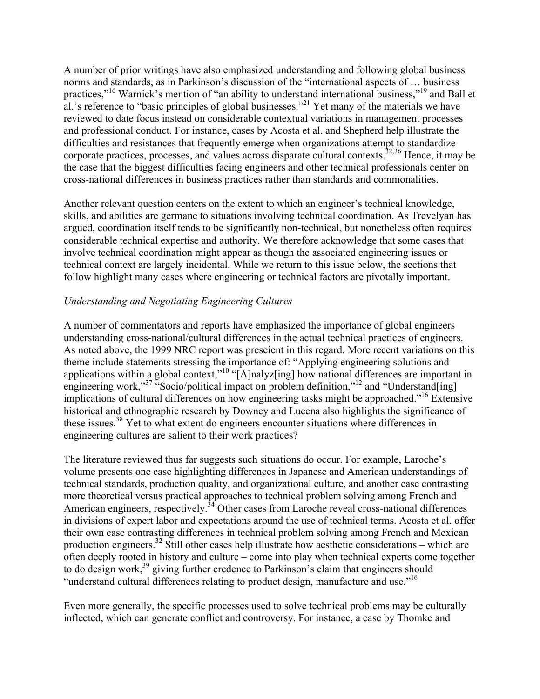A number of prior writings have also emphasized understanding and following global business norms and standards, as in Parkinson's discussion of the "international aspects of … business practices,"<sup>16</sup> Warnick's mention of "an ability to understand international business,"<sup>19</sup> and Ball et al.'s reference to "basic principles of global businesses."<sup>21</sup> Yet many of the materials we have reviewed to date focus instead on considerable contextual variations in management processes and professional conduct. For instance, cases by Acosta et al. and Shepherd help illustrate the difficulties and resistances that frequently emerge when organizations attempt to standardize corporate practices, processes, and values across disparate cultural contexts.<sup>32,36</sup> Hence, it may be the case that the biggest difficulties facing engineers and other technical professionals center on cross-national differences in business practices rather than standards and commonalities.

Another relevant question centers on the extent to which an engineer's technical knowledge, skills, and abilities are germane to situations involving technical coordination. As Trevelyan has argued, coordination itself tends to be significantly non-technical, but nonetheless often requires considerable technical expertise and authority. We therefore acknowledge that some cases that involve technical coordination might appear as though the associated engineering issues or technical context are largely incidental. While we return to this issue below, the sections that follow highlight many cases where engineering or technical factors are pivotally important.

# *Understanding and Negotiating Engineering Cultures*

A number of commentators and reports have emphasized the importance of global engineers understanding cross-national/cultural differences in the actual technical practices of engineers. As noted above, the 1999 NRC report was prescient in this regard. More recent variations on this theme include statements stressing the importance of: "Applying engineering solutions and applications within a global context,"<sup>10</sup> "[A]nalyz[ing] how national differences are important in engineering work,"<sup>37</sup> "Socio/political impact on problem definition,"<sup>12</sup> and "Understand[ing] implications of cultural differences on how engineering tasks might be approached."<sup>16</sup> Extensive historical and ethnographic research by Downey and Lucena also highlights the significance of these issues.<sup>38</sup> Yet to what extent do engineers encounter situations where differences in engineering cultures are salient to their work practices?

The literature reviewed thus far suggests such situations do occur. For example, Laroche's volume presents one case highlighting differences in Japanese and American understandings of technical standards, production quality, and organizational culture, and another case contrasting more theoretical versus practical approaches to technical problem solving among French and American engineers, respectively.<sup>34</sup> Other cases from Laroche reveal cross-national differences in divisions of expert labor and expectations around the use of technical terms. Acosta et al. offer their own case contrasting differences in technical problem solving among French and Mexican production engineers.<sup>32</sup> Still other cases help illustrate how aesthetic considerations – which are often deeply rooted in history and culture – come into play when technical experts come together to do design work,<sup>39</sup> giving further credence to Parkinson's claim that engineers should "understand cultural differences relating to product design, manufacture and use."<sup>16</sup>

Even more generally, the specific processes used to solve technical problems may be culturally inflected, which can generate conflict and controversy. For instance, a case by Thomke and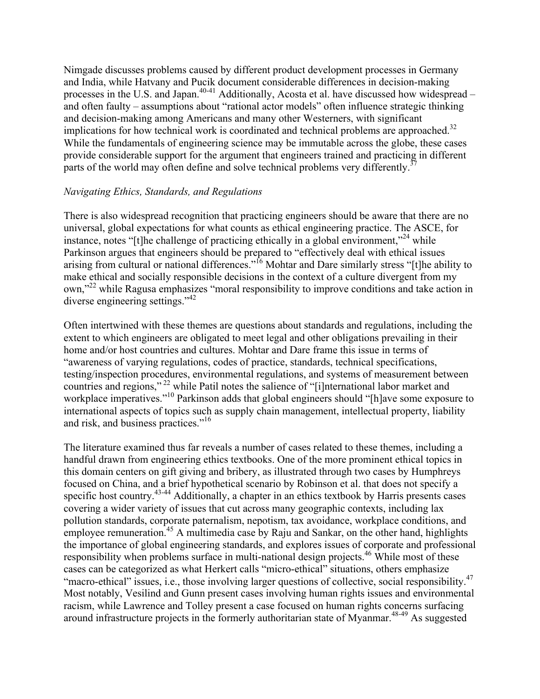Nimgade discusses problems caused by different product development processes in Germany and India, while Hatvany and Pucik document considerable differences in decision-making processes in the U.S. and Japan.<sup>40-41</sup> Additionally, Acosta et al. have discussed how widespread – and often faulty – assumptions about "rational actor models" often influence strategic thinking and decision-making among Americans and many other Westerners, with significant implications for how technical work is coordinated and technical problems are approached.<sup>32</sup> While the fundamentals of engineering science may be immutable across the globe, these cases provide considerable support for the argument that engineers trained and practicing in different parts of the world may often define and solve technical problems very differently.<sup>37</sup>

### *Navigating Ethics, Standards, and Regulations*

There is also widespread recognition that practicing engineers should be aware that there are no universal, global expectations for what counts as ethical engineering practice. The ASCE, for instance, notes "[t]he challenge of practicing ethically in a global environment,"<sup>24</sup> while Parkinson argues that engineers should be prepared to "effectively deal with ethical issues arising from cultural or national differences."16 Mohtar and Dare similarly stress "[t]he ability to make ethical and socially responsible decisions in the context of a culture divergent from my own,"22 while Ragusa emphasizes "moral responsibility to improve conditions and take action in diverse engineering settings."<sup>42</sup>

Often intertwined with these themes are questions about standards and regulations, including the extent to which engineers are obligated to meet legal and other obligations prevailing in their home and/or host countries and cultures. Mohtar and Dare frame this issue in terms of "awareness of varying regulations, codes of practice, standards, technical specifications, testing/inspection procedures, environmental regulations, and systems of measurement between countries and regions," 22 while Patil notes the salience of "[i]nternational labor market and workplace imperatives."<sup>10</sup> Parkinson adds that global engineers should "[h]ave some exposure to international aspects of topics such as supply chain management, intellectual property, liability and risk, and business practices."<sup>16</sup>

The literature examined thus far reveals a number of cases related to these themes, including a handful drawn from engineering ethics textbooks. One of the more prominent ethical topics in this domain centers on gift giving and bribery, as illustrated through two cases by Humphreys focused on China, and a brief hypothetical scenario by Robinson et al. that does not specify a specific host country.<sup>43-44</sup> Additionally, a chapter in an ethics textbook by Harris presents cases covering a wider variety of issues that cut across many geographic contexts, including lax pollution standards, corporate paternalism, nepotism, tax avoidance, workplace conditions, and employee remuneration.<sup>45</sup> A multimedia case by Raju and Sankar, on the other hand, highlights the importance of global engineering standards, and explores issues of corporate and professional responsibility when problems surface in multi-national design projects.<sup>46</sup> While most of these cases can be categorized as what Herkert calls "micro-ethical" situations, others emphasize "macro-ethical" issues, i.e., those involving larger questions of collective, social responsibility.<sup>47</sup> Most notably, Vesilind and Gunn present cases involving human rights issues and environmental racism, while Lawrence and Tolley present a case focused on human rights concerns surfacing around infrastructure projects in the formerly authoritarian state of Myanmar.<sup>48-49</sup> As suggested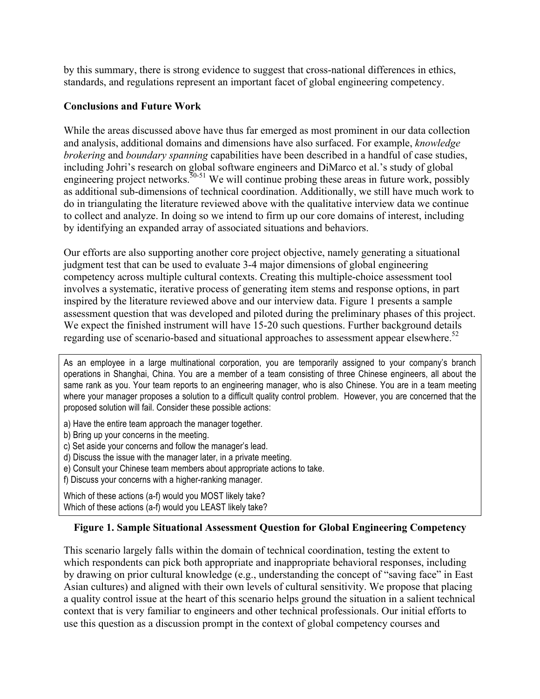by this summary, there is strong evidence to suggest that cross-national differences in ethics, standards, and regulations represent an important facet of global engineering competency.

# **Conclusions and Future Work**

While the areas discussed above have thus far emerged as most prominent in our data collection and analysis, additional domains and dimensions have also surfaced. For example, *knowledge brokering* and *boundary spanning* capabilities have been described in a handful of case studies, including Johri's research on global software engineers and DiMarco et al.'s study of global engineering project networks.<sup>50-51</sup> We will continue probing these areas in future work, possibly as additional sub-dimensions of technical coordination. Additionally, we still have much work to do in triangulating the literature reviewed above with the qualitative interview data we continue to collect and analyze. In doing so we intend to firm up our core domains of interest, including by identifying an expanded array of associated situations and behaviors.

Our efforts are also supporting another core project objective, namely generating a situational judgment test that can be used to evaluate 3-4 major dimensions of global engineering competency across multiple cultural contexts. Creating this multiple-choice assessment tool involves a systematic, iterative process of generating item stems and response options, in part inspired by the literature reviewed above and our interview data. Figure 1 presents a sample assessment question that was developed and piloted during the preliminary phases of this project. We expect the finished instrument will have 15-20 such questions. Further background details regarding use of scenario-based and situational approaches to assessment appear elsewhere.<sup>52</sup>

As an employee in a large multinational corporation, you are temporarily assigned to your company's branch operations in Shanghai, China. You are a member of a team consisting of three Chinese engineers, all about the same rank as you. Your team reports to an engineering manager, who is also Chinese. You are in a team meeting where your manager proposes a solution to a difficult quality control problem. However, you are concerned that the proposed solution will fail. Consider these possible actions:

- a) Have the entire team approach the manager together.
- b) Bring up your concerns in the meeting.
- c) Set aside your concerns and follow the manager's lead.
- d) Discuss the issue with the manager later, in a private meeting.
- e) Consult your Chinese team members about appropriate actions to take.
- f) Discuss your concerns with a higher-ranking manager.

Which of these actions (a-f) would you MOST likely take? Which of these actions (a-f) would you LEAST likely take?

# **Figure 1. Sample Situational Assessment Question for Global Engineering Competency**

This scenario largely falls within the domain of technical coordination, testing the extent to which respondents can pick both appropriate and inappropriate behavioral responses, including by drawing on prior cultural knowledge (e.g., understanding the concept of "saving face" in East Asian cultures) and aligned with their own levels of cultural sensitivity. We propose that placing a quality control issue at the heart of this scenario helps ground the situation in a salient technical context that is very familiar to engineers and other technical professionals. Our initial efforts to use this question as a discussion prompt in the context of global competency courses and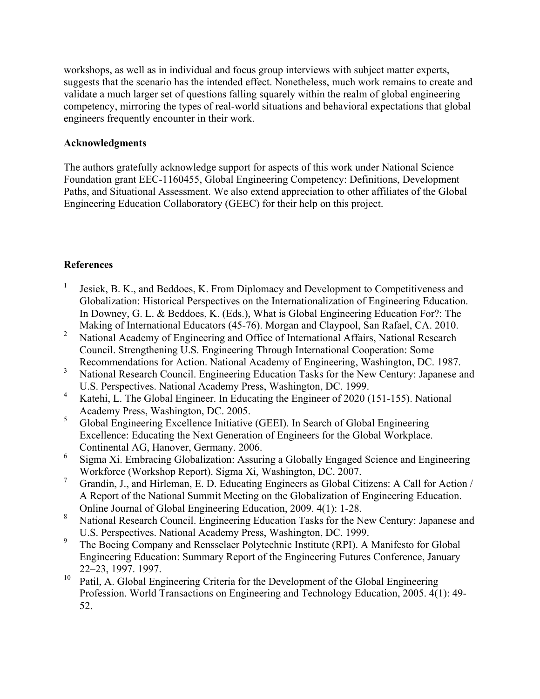workshops, as well as in individual and focus group interviews with subject matter experts, suggests that the scenario has the intended effect. Nonetheless, much work remains to create and validate a much larger set of questions falling squarely within the realm of global engineering competency, mirroring the types of real-world situations and behavioral expectations that global engineers frequently encounter in their work.

### **Acknowledgments**

The authors gratefully acknowledge support for aspects of this work under National Science Foundation grant EEC-1160455, Global Engineering Competency: Definitions, Development Paths, and Situational Assessment. We also extend appreciation to other affiliates of the Global Engineering Education Collaboratory (GEEC) for their help on this project.

# **References**

- <sup>1</sup> Jesiek, B. K., and Beddoes, K. From Diplomacy and Development to Competitiveness and Globalization: Historical Perspectives on the Internationalization of Engineering Education. In Downey, G. L. & Beddoes, K. (Eds.), What is Global Engineering Education For?: The Making of International Educators (45-76). Morgan and Claypool, San Rafael, CA. 2010.
- <sup>2</sup> National Academy of Engineering and Office of International Affairs, National Research Council. Strengthening U.S. Engineering Through International Cooperation: Some Recommendations for Action. National Academy of Engineering, Washington, DC. 1987.
- <sup>3</sup> National Research Council. Engineering Education Tasks for the New Century: Japanese and U.S. Perspectives. National Academy Press, Washington, DC. 1999.
- <sup>4</sup> Katehi, L. The Global Engineer. In Educating the Engineer of 2020 (151-155). National Academy Press, Washington, DC. 2005.
- <sup>5</sup> Global Engineering Excellence Initiative (GEEI). In Search of Global Engineering Excellence: Educating the Next Generation of Engineers for the Global Workplace. Continental AG, Hanover, Germany. 2006.
- <sup>6</sup> Sigma Xi. Embracing Globalization: Assuring a Globally Engaged Science and Engineering Workforce (Workshop Report). Sigma Xi, Washington, DC. 2007.
- <sup>7</sup> Grandin, J., and Hirleman, E. D. Educating Engineers as Global Citizens: A Call for Action / A Report of the National Summit Meeting on the Globalization of Engineering Education. Online Journal of Global Engineering Education, 2009. 4(1): 1-28.
- <sup>8</sup> National Research Council. Engineering Education Tasks for the New Century: Japanese and U.S. Perspectives. National Academy Press, Washington, DC. 1999.
- <sup>9</sup> The Boeing Company and Rensselaer Polytechnic Institute (RPI). A Manifesto for Global Engineering Education: Summary Report of the Engineering Futures Conference, January 22–23, 1997. 1997.
- Patil, A. Global Engineering Criteria for the Development of the Global Engineering Profession. World Transactions on Engineering and Technology Education, 2005. 4(1): 49- 52.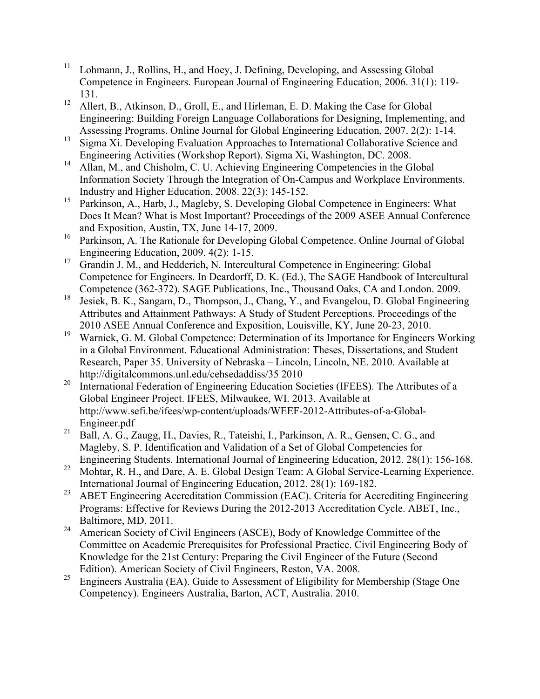- <sup>11</sup> Lohmann, J., Rollins, H., and Hoey, J. Defining, Developing, and Assessing Global Competence in Engineers. European Journal of Engineering Education, 2006. 31(1): 119- 131.
- <sup>12</sup> Allert, B., Atkinson, D., Groll, E., and Hirleman, E. D. Making the Case for Global Engineering: Building Foreign Language Collaborations for Designing, Implementing, and Assessing Programs. Online Journal for Global Engineering Education, 2007. 2(2): 1-14.
- <sup>13</sup> Sigma Xi. Developing Evaluation Approaches to International Collaborative Science and
- Engineering Activities (Workshop Report). Sigma Xi, Washington, DC. 2008. <sup>14</sup> Allan, M., and Chisholm, C. U. Achieving Engineering Competencies in the Global Information Society Through the Integration of On-Campus and Workplace Environments. Industry and Higher Education, 2008. 22(3): 145-152.
- <sup>15</sup> Parkinson, A., Harb, J., Magleby, S. Developing Global Competence in Engineers: What Does It Mean? What is Most Important? Proceedings of the 2009 ASEE Annual Conference and Exposition, Austin, TX, June 14-17, 2009.
- <sup>16</sup> Parkinson, A. The Rationale for Developing Global Competence. Online Journal of Global Engineering Education, 2009. 4(2): 1-15.
- <sup>17</sup> Grandin J. M., and Hedderich, N. Intercultural Competence in Engineering: Global Competence for Engineers. In Deardorff, D. K. (Ed.), The SAGE Handbook of Intercultural
- Competence (362-372). SAGE Publications, Inc., Thousand Oaks, CA and London. 2009.<br><sup>18</sup> Jesiek, B. K., Sangam, D., Thompson, J., Chang, Y., and Evangelou, D. Global Engineering Attributes and Attainment Pathways: A Study of Student Perceptions. Proceedings of the 2010 ASEE Annual Conference and Exposition, Louisville, KY, June 20-23, 2010.
- <sup>19</sup> Warnick, G. M. Global Competence: Determination of its Importance for Engineers Working in a Global Environment. Educational Administration: Theses, Dissertations, and Student Research, Paper 35. University of Nebraska – Lincoln, Lincoln, NE. 2010. Available at http://digitalcommons.unl.edu/cehsedaddiss/35 2010
- <sup>20</sup> International Federation of Engineering Education Societies (IFEES). The Attributes of a Global Engineer Project. IFEES, Milwaukee, WI. 2013. Available at http://www.sefi.be/ifees/wp-content/uploads/WEEF-2012-Attributes-of-a-Global-Engineer.pdf
- <sup>21</sup> Ball, A. G., Zaugg, H., Davies, R., Tateishi, I., Parkinson, A. R., Gensen, C. G., and Magleby, S. P. Identification and Validation of a Set of Global Competencies for Engineering Students. International Journal of Engineering Education, 2012. 28(1): 156-168.
- <sup>22</sup> Mohtar, R. H., and Dare, A. E. Global Design Team: A Global Service-Learning Experience. International Journal of Engineering Education, 2012. 28(1): 169-182.
- <sup>23</sup> ABET Engineering Accreditation Commission (EAC). Criteria for Accrediting Engineering Programs: Effective for Reviews During the 2012-2013 Accreditation Cycle. ABET, Inc., Baltimore, MD. 2011.
- <sup>24</sup> American Society of Civil Engineers (ASCE), Body of Knowledge Committee of the Committee on Academic Prerequisites for Professional Practice. Civil Engineering Body of Knowledge for the 21st Century: Preparing the Civil Engineer of the Future (Second Edition). American Society of Civil Engineers, Reston, VA. 2008.
- <sup>25</sup> Engineers Australia (EA). Guide to Assessment of Eligibility for Membership (Stage One Competency). Engineers Australia, Barton, ACT, Australia. 2010.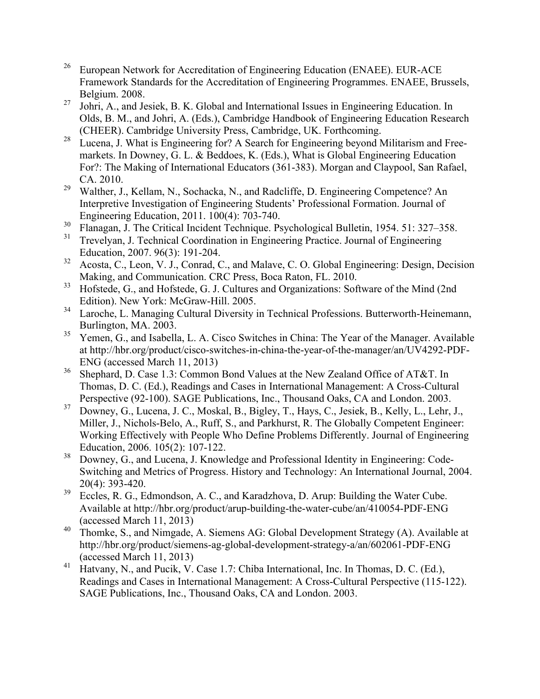- <sup>26</sup> European Network for Accreditation of Engineering Education (ENAEE). EUR-ACE Framework Standards for the Accreditation of Engineering Programmes. ENAEE, Brussels, Belgium. 2008.
- <sup>27</sup> Johri, A., and Jesiek, B. K. Global and International Issues in Engineering Education. In Olds, B. M., and Johri, A. (Eds.), Cambridge Handbook of Engineering Education Research (CHEER). Cambridge University Press, Cambridge, UK. Forthcoming.
- $28$  Lucena, J. What is Engineering for? A Search for Engineering beyond Militarism and Freemarkets. In Downey, G. L. & Beddoes, K. (Eds.), What is Global Engineering Education For?: The Making of International Educators (361-383). Morgan and Claypool, San Rafael, CA. 2010.
- <sup>29</sup> Walther, J., Kellam, N., Sochacka, N., and Radcliffe, D. Engineering Competence? An Interpretive Investigation of Engineering Students' Professional Formation. Journal of Engineering Education, 2011. 100(4): 703-740.
- $\frac{30}{31}$  Flanagan, J. The Critical Incident Technique. Psychological Bulletin, 1954. 51: 327–358.
- <sup>31</sup> Trevelyan, J. Technical Coordination in Engineering Practice. Journal of Engineering Education, 2007. 96(3): 191-204.
- $32$  Acosta, C., Leon, V. J., Conrad, C., and Malave, C. O. Global Engineering: Design, Decision Making, and Communication. CRC Press, Boca Raton, FL. 2010.
- <sup>33</sup> Hofstede, G., and Hofstede, G. J. Cultures and Organizations: Software of the Mind (2nd) Edition). New York: McGraw-Hill. 2005.
- <sup>34</sup> Laroche, L. Managing Cultural Diversity in Technical Professions. Butterworth-Heinemann, Burlington, MA. 2003.
- <sup>35</sup> Yemen, G., and Isabella, L. A. Cisco Switches in China: The Year of the Manager. Available at http://hbr.org/product/cisco-switches-in-china-the-year-of-the-manager/an/UV4292-PDF-ENG (accessed March 11, 2013)
- <sup>36</sup> Shephard, D. Case 1.3: Common Bond Values at the New Zealand Office of AT&T. In Thomas, D. C. (Ed.), Readings and Cases in International Management: A Cross-Cultural Perspective (92-100). SAGE Publications, Inc., Thousand Oaks, CA and London. 2003.
- <sup>37</sup> Downey, G., Lucena, J. C., Moskal, B., Bigley, T., Hays, C., Jesiek, B., Kelly, L., Lehr, J., Miller, J., Nichols-Belo, A., Ruff, S., and Parkhurst, R. The Globally Competent Engineer: Working Effectively with People Who Define Problems Differently. Journal of Engineering Education, 2006. 105(2): 107-122.
- <sup>38</sup> Downey, G., and Lucena, J. Knowledge and Professional Identity in Engineering: Code-Switching and Metrics of Progress. History and Technology: An International Journal, 2004. 20(4): 393-420.
- <sup>39</sup> Eccles, R. G., Edmondson, A. C., and Karadzhova, D. Arup: Building the Water Cube. Available at http://hbr.org/product/arup-building-the-water-cube/an/410054-PDF-ENG (accessed March 11, 2013)
- <sup>40</sup> Thomke, S., and Nimgade, A. Siemens AG: Global Development Strategy (A). Available at http://hbr.org/product/siemens-ag-global-development-strategy-a/an/602061-PDF-ENG (accessed March 11, 2013)
- <sup>41</sup> Hatvany, N., and Pucik, V. Case 1.7: Chiba International, Inc. In Thomas, D. C. (Ed.), Readings and Cases in International Management: A Cross-Cultural Perspective (115-122). SAGE Publications, Inc., Thousand Oaks, CA and London. 2003.